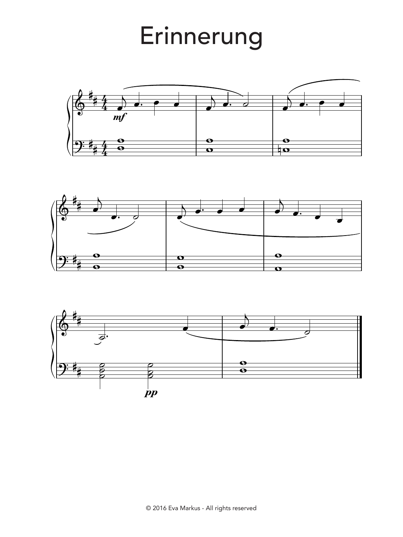# Erinnerung





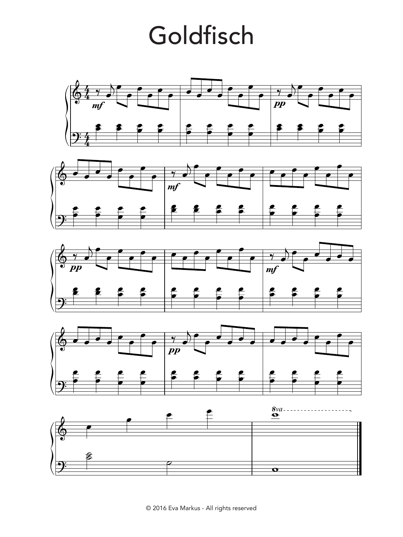### Goldfisch









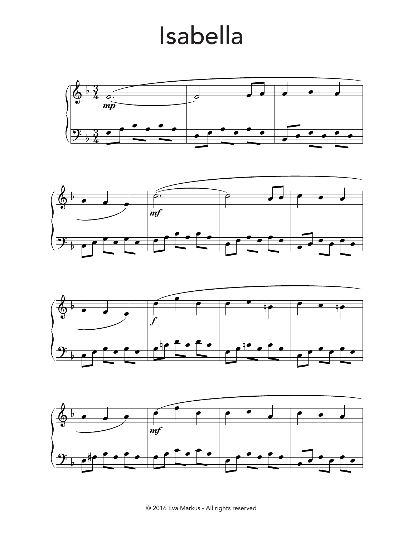#### Isabella







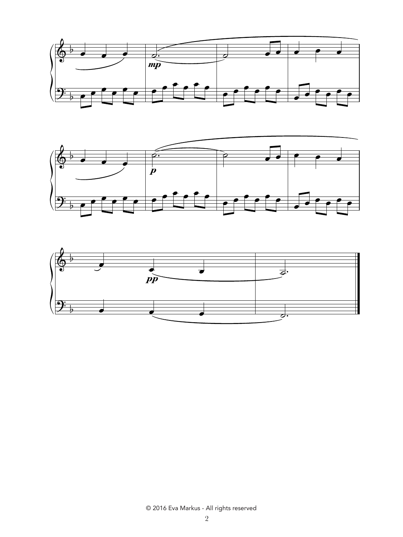





© 2016 Eva Markus - All rights reserved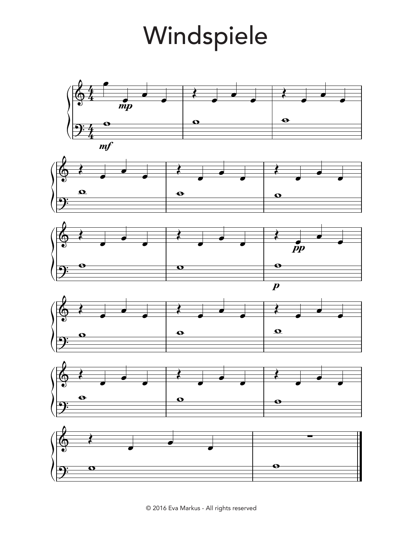## Windspiele











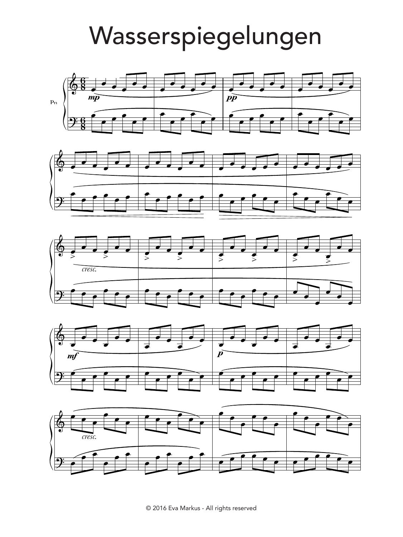## Wasserspiegelungen